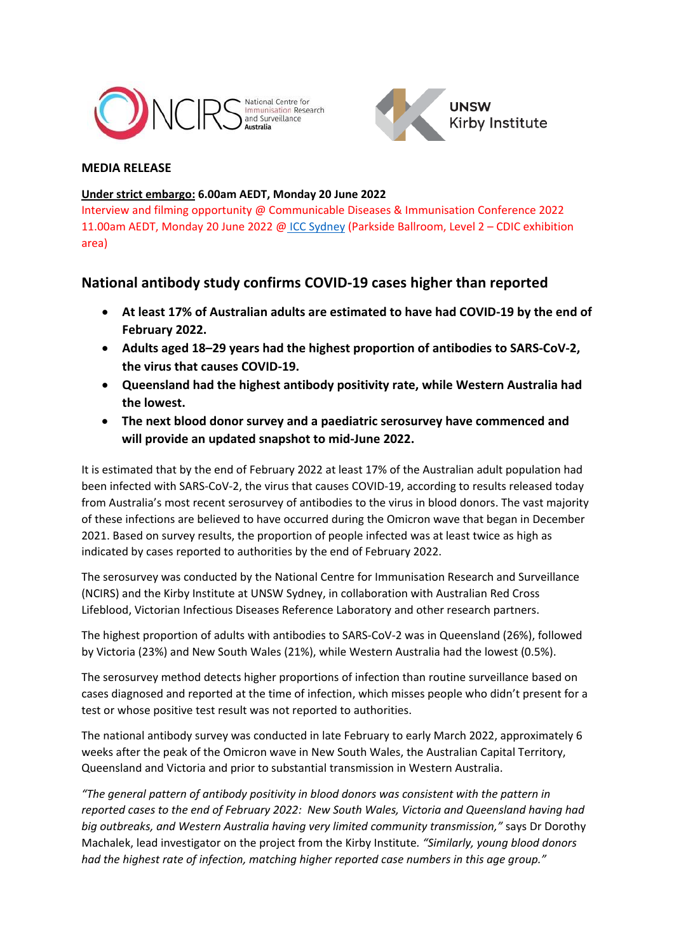



# **MEDIA RELEASE**

## **Under strict embargo: 6.00am AEDT, Monday 20 June 2022**

Interview and filming opportunity @ Communicable Diseases & Immunisation Conference 2022 11.00am AEDT, Monday 20 June 2022 @ [ICC Sydney](https://www.iccsydney.com.au/) (Parkside Ballroom, Level 2 – CDIC exhibition area)

# **National antibody study confirms COVID-19 cases higher than reported**

- **At least 17% of Australian adults are estimated to have had COVID-19 by the end of February 2022.**
- **Adults aged 18–29 years had the highest proportion of antibodies to SARS-CoV-2, the virus that causes COVID-19.**
- **Queensland had the highest antibody positivity rate, while Western Australia had the lowest.**
- **The next blood donor survey and a paediatric serosurvey have commenced and will provide an updated snapshot to mid-June 2022.**

It is estimated that by the end of February 2022 at least 17% of the Australian adult population had been infected with SARS-CoV-2, the virus that causes COVID-19, according to results released today from Australia's most recent serosurvey of antibodies to the virus in blood donors. The vast majority of these infections are believed to have occurred during the Omicron wave that began in December 2021. Based on survey results, the proportion of people infected was at least twice as high as indicated by cases reported to authorities by the end of February 2022.

The serosurvey was conducted by the National Centre for Immunisation Research and Surveillance (NCIRS) and the Kirby Institute at UNSW Sydney, in collaboration with Australian Red Cross Lifeblood, Victorian Infectious Diseases Reference Laboratory and other research partners.

The highest proportion of adults with antibodies to SARS-CoV-2 was in Queensland (26%), followed by Victoria (23%) and New South Wales (21%), while Western Australia had the lowest (0.5%).

The serosurvey method detects higher proportions of infection than routine surveillance based on cases diagnosed and reported at the time of infection, which misses people who didn't present for a test or whose positive test result was not reported to authorities.

The national antibody survey was conducted in late February to early March 2022, approximately 6 weeks after the peak of the Omicron wave in New South Wales, the Australian Capital Territory, Queensland and Victoria and prior to substantial transmission in Western Australia.

*"The general pattern of antibody positivity in blood donors was consistent with the pattern in reported cases to the end of February 2022: New South Wales, Victoria and Queensland having had big outbreaks, and Western Australia having very limited community transmission,"* says Dr Dorothy Machalek, lead investigator on the project from the Kirby Institute*. "Similarly, young blood donors had the highest rate of infection, matching higher reported case numbers in this age group."*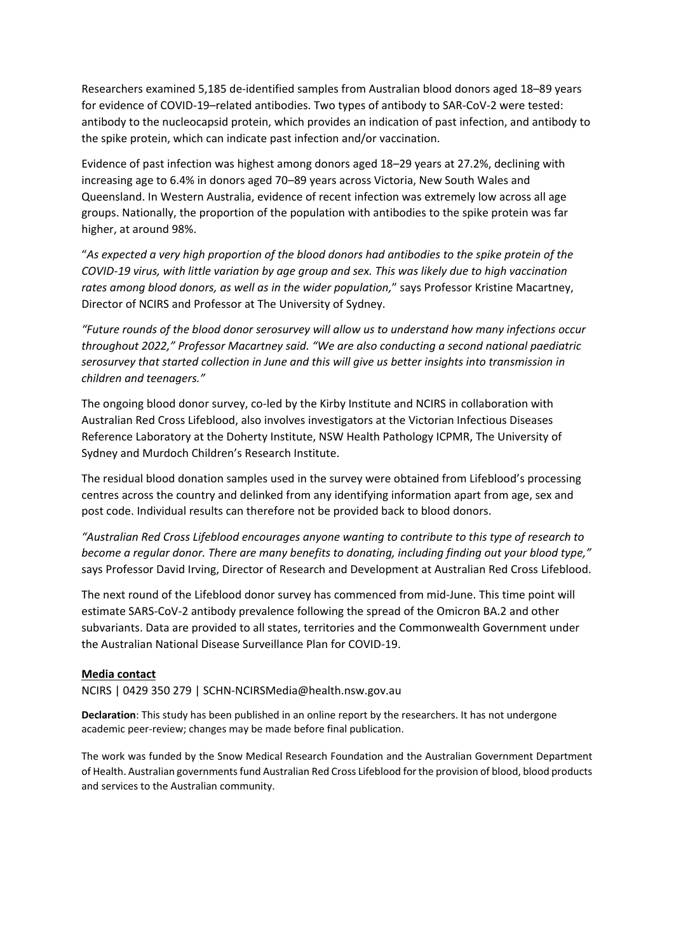Researchers examined 5,185 de-identified samples from Australian blood donors aged 18–89 years for evidence of COVID-19–related antibodies. Two types of antibody to SAR-CoV-2 were tested: antibody to the nucleocapsid protein, which provides an indication of past infection, and antibody to the spike protein, which can indicate past infection and/or vaccination.

Evidence of past infection was highest among donors aged 18–29 years at 27.2%, declining with increasing age to 6.4% in donors aged 70–89 years across Victoria, New South Wales and Queensland. In Western Australia, evidence of recent infection was extremely low across all age groups. Nationally, the proportion of the population with antibodies to the spike protein was far higher, at around 98%.

"*As expected a very high proportion of the blood donors had antibodies to the spike protein of the COVID-19 virus, with little variation by age group and sex. This was likely due to high vaccination rates among blood donors, as well as in the wider population,*" says Professor Kristine Macartney, Director of NCIRS and Professor at The University of Sydney.

*"Future rounds of the blood donor serosurvey will allow us to understand how many infections occur throughout 2022," Professor Macartney said. "We are also conducting a second national paediatric serosurvey that started collection in June and this will give us better insights into transmission in children and teenagers."*

The ongoing blood donor survey, co-led by the Kirby Institute and NCIRS in collaboration with Australian Red Cross Lifeblood, also involves investigators at the Victorian Infectious Diseases Reference Laboratory at the Doherty Institute, NSW Health Pathology ICPMR, The University of Sydney and Murdoch Children's Research Institute.

The residual blood donation samples used in the survey were obtained from Lifeblood's processing centres across the country and delinked from any identifying information apart from age, sex and post code. Individual results can therefore not be provided back to blood donors.

*"Australian Red Cross Lifeblood encourages anyone wanting to contribute to this type of research to become a regular donor. There are many benefits to donating, including finding out your blood type,"* says Professor David Irving, Director of Research and Development at Australian Red Cross Lifeblood.

The next round of the Lifeblood donor survey has commenced from mid-June. This time point will estimate SARS-CoV-2 antibody prevalence following the spread of the Omicron BA.2 and other subvariants. Data are provided to all states, territories and the Commonwealth Government under the Australian National Disease Surveillance Plan for COVID-19.

#### **Media contact**

NCIRS | 0429 350 279 | SCHN-NCIRSMedia@health.nsw.gov.au

**Declaration**: This study has been published in an online report by the researchers. It has not undergone academic peer-review; changes may be made before final publication.

The work was funded by the Snow Medical Research Foundation and the Australian Government Department of Health. Australian governments fund Australian Red Cross Lifeblood for the provision of blood, blood products and services to the Australian community.